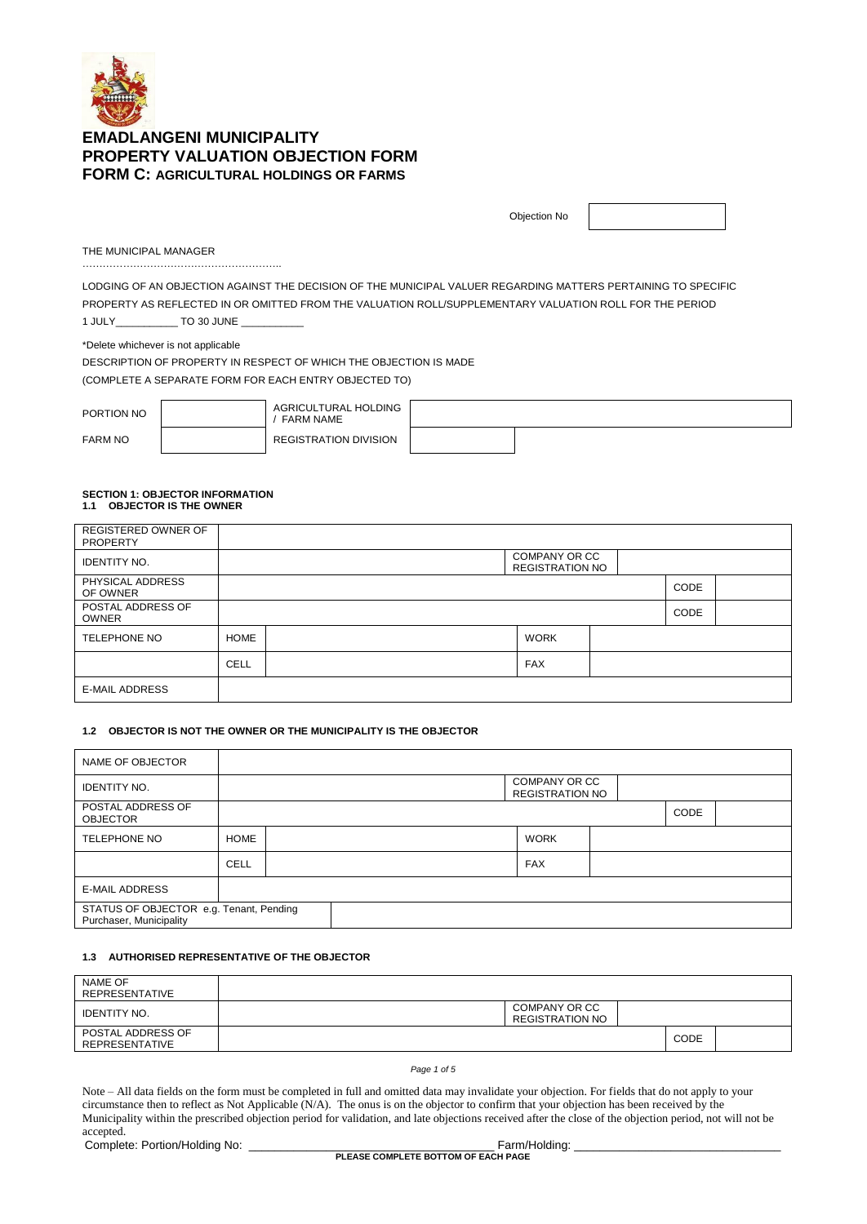

| Objection No |  |
|--------------|--|
|--------------|--|

THE MUNICIPAL MANAGER

LODGING OF AN OBJECTION AGAINST THE DECISION OF THE MUNICIPAL VALUER REGARDING MATTERS PERTAINING TO SPECIFIC PROPERTY AS REFLECTED IN OR OMITTED FROM THE VALUATION ROLL/SUPPLEMENTARY VALUATION ROLL FOR THE PERIOD 1 JULY\_\_\_\_\_\_\_\_\_\_\_ TO 30 JUNE \_\_\_\_\_\_\_\_\_\_\_

…………………………………………………..

\*Delete whichever is not applicable DESCRIPTION OF PROPERTY IN RESPECT OF WHICH THE OBJECTION IS MADE (COMPLETE A SEPARATE FORM FOR EACH ENTRY OBJECTED TO)

| PORTION NO     | AGRICULTURAL HOLDING<br><b>FARM NAME</b> |  |
|----------------|------------------------------------------|--|
| <b>FARM NO</b> | <b>REGISTRATION DIVISION</b>             |  |

# **SECTION 1: OBJECTOR INFORMATION 1.1 OBJECTOR IS THE OWNER**

| REGISTERED OWNER OF<br><b>PROPERTY</b> |             |                                         |      |  |
|----------------------------------------|-------------|-----------------------------------------|------|--|
| <b>IDENTITY NO.</b>                    |             | COMPANY OR CC<br><b>REGISTRATION NO</b> |      |  |
| PHYSICAL ADDRESS<br>OF OWNER           |             |                                         | CODE |  |
| POSTAL ADDRESS OF<br><b>OWNER</b>      |             |                                         | CODE |  |
| TELEPHONE NO                           | <b>HOME</b> | <b>WORK</b>                             |      |  |
|                                        | <b>CELL</b> | <b>FAX</b>                              |      |  |
| <b>E-MAIL ADDRESS</b>                  |             |                                         |      |  |

# **1.2 OBJECTOR IS NOT THE OWNER OR THE MUNICIPALITY IS THE OBJECTOR**

| NAME OF OBJECTOR                                                   |             |  |  |                                         |      |  |
|--------------------------------------------------------------------|-------------|--|--|-----------------------------------------|------|--|
| <b>IDENTITY NO.</b>                                                |             |  |  | COMPANY OR CC<br><b>REGISTRATION NO</b> |      |  |
| POSTAL ADDRESS OF<br><b>OBJECTOR</b>                               |             |  |  |                                         | CODE |  |
| <b>TELEPHONE NO</b>                                                | <b>HOME</b> |  |  | <b>WORK</b>                             |      |  |
|                                                                    | <b>CELL</b> |  |  | <b>FAX</b>                              |      |  |
| <b>E-MAIL ADDRESS</b>                                              |             |  |  |                                         |      |  |
| STATUS OF OBJECTOR e.g. Tenant, Pending<br>Purchaser, Municipality |             |  |  |                                         |      |  |

#### **1.3 AUTHORISED REPRESENTATIVE OF THE OBJECTOR**

| NAME OF<br>REPRESENTATIVE                  |                                         |             |  |
|--------------------------------------------|-----------------------------------------|-------------|--|
| <b>IDENTITY NO.</b>                        | COMPANY OR CC<br><b>REGISTRATION NO</b> |             |  |
| POSTAL ADDRESS OF<br><b>REPRESENTATIVE</b> |                                         | <b>CODE</b> |  |

#### *Page 1 of 5*

Note – All data fields on the form must be completed in full and omitted data may invalidate your objection. For fields that do not apply to your circumstance then to reflect as Not Applicable (N/A). The onus is on the objector to confirm that your objection has been received by the Municipality within the prescribed objection period for validation, and late objections received after the close of the objection period, not will not be accepted.

Complete: Portion/Holding No: \_\_\_\_\_\_\_\_\_\_\_\_\_\_\_\_\_\_\_\_\_\_\_\_\_\_\_\_\_\_\_\_\_\_\_\_\_\_ Farm/Holding: \_\_\_\_\_\_\_\_\_\_\_\_\_\_\_\_\_\_\_\_\_\_\_\_\_\_\_\_\_\_\_\_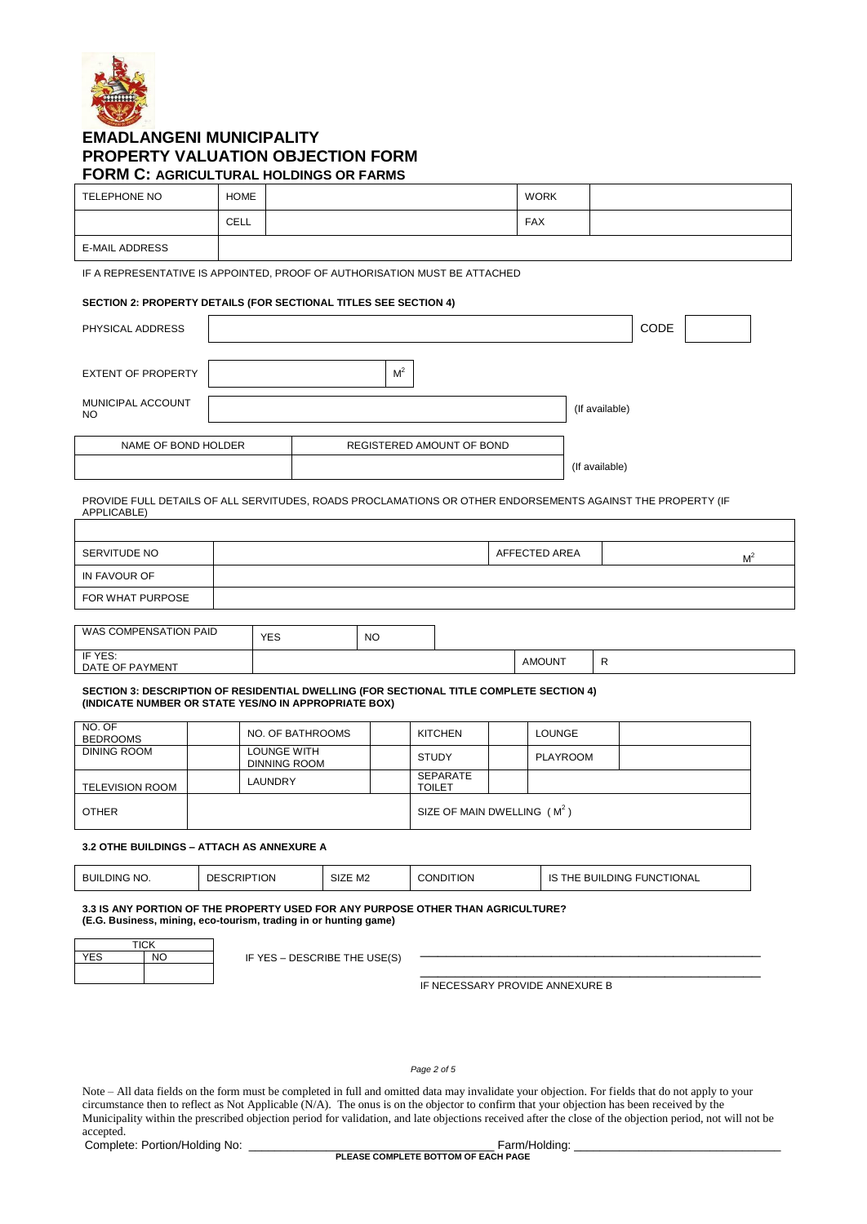

# TELEPHONE NO HOME NOW HOWE CELL FAX E-MAIL ADDRESS

IF A REPRESENTATIVE IS APPOINTED, PROOF OF AUTHORISATION MUST BE ATTACHED

# **SECTION 2: PROPERTY DETAILS (FOR SECTIONAL TITLES SEE SECTION 4)**

| PHYSICAL ADDRESS               |                           |                | CODE |  |
|--------------------------------|---------------------------|----------------|------|--|
| <b>EXTENT OF PROPERTY</b>      | M <sup>2</sup>            |                |      |  |
| MUNICIPAL ACCOUNT<br><b>NO</b> |                           | (If available) |      |  |
| NAME OF BOND HOLDER            | REGISTERED AMOUNT OF BOND |                |      |  |
|                                |                           | (If available) |      |  |

PROVIDE FULL DETAILS OF ALL SERVITUDES, ROADS PROCLAMATIONS OR OTHER ENDORSEMENTS AGAINST THE PROPERTY (IF APPLICABLE)

| SERVITUDE NO          |            |           | AFFECTED AREA | M |
|-----------------------|------------|-----------|---------------|---|
| IN FAVOUR OF          |            |           |               |   |
| FOR WHAT PURPOSE      |            |           |               |   |
|                       |            |           |               |   |
| WAS COMPENSATION PAID | <b>YES</b> | <b>NO</b> |               |   |

| IF YES:<br>PAYMENT<br>OF P<br><b>DATE</b><br>1 H 3 |  | <b>AMOUNT</b> |  |
|----------------------------------------------------|--|---------------|--|

#### **SECTION 3: DESCRIPTION OF RESIDENTIAL DWELLING (FOR SECTIONAL TITLE COMPLETE SECTION 4) (INDICATE NUMBER OR STATE YES/NO IN APPROPRIATE BOX)**

| NO. OF<br><b>BEDROOMS</b> | NO. OF BATHROOMS            | <b>KITCHEN</b>                | LOUNGE   |  |
|---------------------------|-----------------------------|-------------------------------|----------|--|
| DINING ROOM               | LOUNGE WITH<br>DINNING ROOM | <b>STUDY</b>                  | PLAYROOM |  |
| <b>TELEVISION ROOM</b>    | LAUNDRY                     | SEPARATE<br><b>TOILET</b>     |          |  |
| <b>OTHER</b>              |                             | SIZE OF MAIN DWELLING $(M^2)$ |          |  |

# **3.2 OTHE BUILDINGS – ATTACH AS ANNEXURE A**

| NO.<br><b>BUII</b><br><b>DING</b><br>______ | <b>TON</b><br>DE<br>wR⊮<br>$   -$ | $\sim$<br>M <sub>2</sub><br>SIZE | ondition<br>_________ | <b>TIONAL</b><br>$\mathsf{G}$ FUNCT.<br>DING<br>BUII<br>ıc<br>ΉE<br>تنا |
|---------------------------------------------|-----------------------------------|----------------------------------|-----------------------|-------------------------------------------------------------------------|
|                                             |                                   |                                  |                       |                                                                         |

**3.3 IS ANY PORTION OF THE PROPERTY USED FOR ANY PURPOSE OTHER THAN AGRICULTURE? (E.G. Business, mining, eco-tourism, trading in or hunting game)**

| <b>TICK</b> |                |  |  |  |  |
|-------------|----------------|--|--|--|--|
| <b>YES</b>  | N <sub>O</sub> |  |  |  |  |
|             |                |  |  |  |  |
|             |                |  |  |  |  |

IF YES - DESCRIBE THE USE(S)

\_\_\_\_\_\_\_\_\_\_\_\_\_\_\_\_\_\_\_\_\_\_\_\_\_\_\_\_\_\_\_\_\_\_\_\_\_\_\_ IF NECESSARY PROVIDE ANNEXURE B

*Page 2 of 5*

Note – All data fields on the form must be completed in full and omitted data may invalidate your objection. For fields that do not apply to your circumstance then to reflect as Not Applicable (N/A). The onus is on the objector to confirm that your objection has been received by the Municipality within the prescribed objection period for validation, and late objections received after the close of the objection period, not will not be accepted.

Complete: Portion/Holding No: \_\_\_\_\_\_\_\_\_\_\_\_\_\_\_\_\_\_\_\_\_\_\_\_\_\_\_\_\_\_\_\_\_\_\_\_\_\_ Farm/Holding: \_\_\_\_\_\_\_\_\_\_\_\_\_\_\_\_\_\_\_\_\_\_\_\_\_\_\_\_\_\_\_\_

**PLEASE COMPLETE BOTTOM OF EACH PAGE**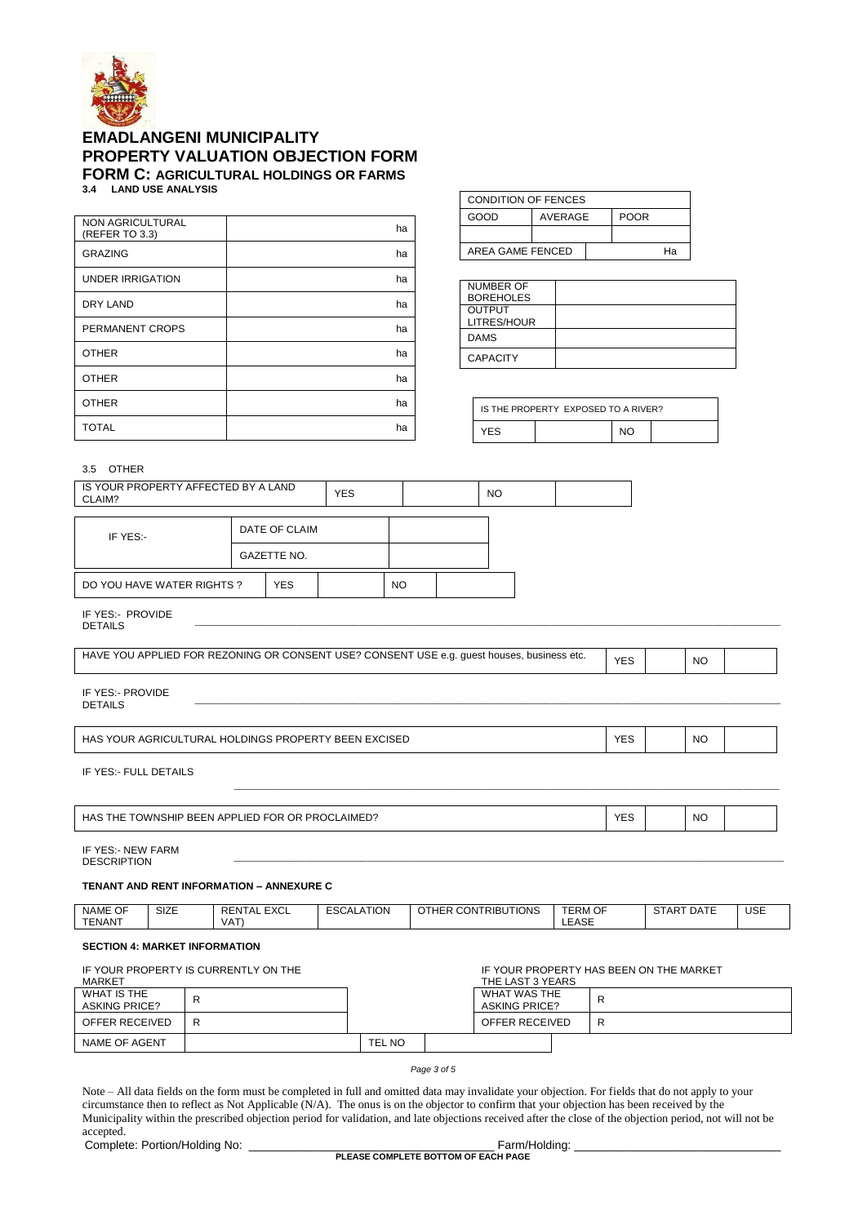

| NON AGRICULTURAL<br>(REFER TO 3.3) | ha |
|------------------------------------|----|
| <b>GRAZING</b>                     | ha |
| <b>UNDER IRRIGATION</b>            | ha |
| <b>DRY LAND</b>                    | ha |
| PERMANENT CROPS                    | ha |
| <b>OTHER</b>                       | ha |
| <b>OTHER</b>                       | ha |
| <b>OTHER</b>                       | ha |
| <b>TOTAL</b>                       | ha |

| <b>CONDITION OF FENCES</b> |         |  |             |  |  |  |
|----------------------------|---------|--|-------------|--|--|--|
| GOOD                       | AVERAGE |  | <b>POOR</b> |  |  |  |
|                            |         |  |             |  |  |  |
| AREA GAME FENCED           |         |  | Ha          |  |  |  |

| NUMBER OF        |  |
|------------------|--|
| <b>BOREHOLES</b> |  |
| <b>OUTPUT</b>    |  |
| LITRES/HOUR      |  |
| <b>DAMS</b>      |  |
| <b>CAPACITY</b>  |  |

| IS THE PROPERTY EXPOSED TO A RIVER? |  |     |  |  |  |
|-------------------------------------|--|-----|--|--|--|
| YFS                                 |  | NΙN |  |  |  |

## 3.5 OTHER

| IS YOUR PROPERTY AFFECTED BY A LAND<br>CLAIM? |                    |               | <b>YES</b> |           | NO |  |
|-----------------------------------------------|--------------------|---------------|------------|-----------|----|--|
| IF YES:-                                      |                    | DATE OF CLAIM |            |           |    |  |
|                                               | <b>GAZETTE NO.</b> |               |            |           |    |  |
| DO YOU HAVE WATER RIGHTS ?                    | <b>YES</b>         |               |            | <b>NO</b> |    |  |

IF YES:- PROVIDE<br>DETAILS DETAILS \_\_\_\_\_\_\_\_\_\_\_\_\_\_\_\_\_\_\_\_\_\_\_\_\_\_\_\_\_\_\_\_\_\_\_\_\_\_\_\_\_\_\_\_\_\_\_\_\_\_\_\_\_\_\_\_\_\_\_\_\_\_\_\_\_\_\_\_\_\_\_\_\_\_\_\_\_\_\_\_\_\_\_\_\_\_\_\_\_\_\_\_\_\_\_\_\_\_\_\_\_\_\_\_\_\_\_\_\_\_\_\_\_\_\_

| HAVE YOU APPLIED FOR REZONING OR CONSENT USE? CONSENT USE e.g. quest houses, business etc. | YES | <b>NC</b> |  |
|--------------------------------------------------------------------------------------------|-----|-----------|--|
|                                                                                            |     |           |  |

IF YES:- PROVIDE<br>DETAILS DETAILS \_\_\_\_\_\_\_\_\_\_\_\_\_\_\_\_\_\_\_\_\_\_\_\_\_\_\_\_\_\_\_\_\_\_\_\_\_\_\_\_\_\_\_\_\_\_\_\_\_\_\_\_\_\_\_\_\_\_\_\_\_\_\_\_\_\_\_\_\_\_\_\_\_\_\_\_\_\_\_\_\_\_\_\_\_\_\_\_\_\_\_\_\_\_\_\_\_\_\_\_\_\_\_\_\_\_\_\_\_\_\_\_\_\_\_

| <b>EXCISED</b><br><b>HAS</b><br>DINGS<br>URAL<br>HOL<br>AGRICUL<br>; PROPE<br>$\ddot{\phantom{0}}$<br>FΝ<br><b>JUR</b><br>ו א<br>____ | $\sqrt{2}$<br>____ | <b>NC</b><br>___ |  |
|---------------------------------------------------------------------------------------------------------------------------------------|--------------------|------------------|--|

IF YES:- FULL DETAILS

| <b>FOR</b><br>AIMED?<br><b>PRO</b><br>OR.<br>ΉE<br><b>HAS</b><br>, OWNSHIP<br><b>BEEN APPLIEL</b> | $\sqrt{2}$<br>. .<br>∼∟<br>$\sim$ |  | <b>NO</b><br>__ |  |  |
|---------------------------------------------------------------------------------------------------|-----------------------------------|--|-----------------|--|--|
|---------------------------------------------------------------------------------------------------|-----------------------------------|--|-----------------|--|--|

\_\_\_\_\_\_\_\_\_\_\_\_\_\_\_\_\_\_\_\_\_\_\_\_\_\_\_\_\_\_\_\_\_\_\_\_\_\_\_\_\_\_\_\_\_\_\_\_\_\_\_\_\_\_\_\_\_\_\_\_\_\_\_\_\_\_\_\_\_\_\_\_\_\_\_\_\_\_\_\_\_\_\_\_\_\_\_\_\_\_\_\_\_\_\_\_\_\_\_\_\_\_\_\_\_\_\_

IF YES:- NEW FARM<br>DESCRIPTION DESCRIPTION \_\_\_\_\_\_\_\_\_\_\_\_\_\_\_\_\_\_\_\_\_\_\_\_\_\_\_\_\_\_\_\_\_\_\_\_\_\_\_\_\_\_\_\_\_\_\_\_\_\_\_\_\_\_\_\_\_\_\_\_\_\_\_\_\_\_\_\_\_\_\_\_\_\_\_\_\_\_\_\_\_\_\_\_\_\_\_\_\_\_\_\_\_\_\_\_\_\_\_\_\_\_\_\_\_\_\_\_

**TENANT AND RENT INFORMATION – ANNEXURE C**

| $\sim$ $\sim$<br><b>NAME OF</b> | <b>SIZE</b> | $\Gamma$<br><b>REN</b><br>$\cdots$ | ALATION   | UTIONS<br>CON<br>$T$ RIBU.<br>$\cup$ THER $\cap$ | <b>TERM OF</b>                                   | <b>DATE</b><br>'TAR | <b>USE</b> |
|---------------------------------|-------------|------------------------------------|-----------|--------------------------------------------------|--------------------------------------------------|---------------------|------------|
|                                 |             | ᇊᆺ                                 | ىدى<br>__ |                                                  |                                                  | ື                   | ___        |
| <b>TENANT</b>                   |             | $\sqrt{2}$                         |           |                                                  | $\sim$ $\sim$ $\sim$<br>$\overline{\phantom{0}}$ |                     |            |
|                                 |             | VA.                                |           |                                                  | -ASL.<br>، سا سه                                 |                     |            |
|                                 |             |                                    |           |                                                  |                                                  |                     |            |

## **SECTION 4: MARKET INFORMATION**

| IF YOUR PROPERTY IS CURRENTLY ON THE<br>MARKET |   |                                      | THE LAST 3 YEARS | IF YOUR PROPERTY HAS BEEN ON THE MARKET |   |
|------------------------------------------------|---|--------------------------------------|------------------|-----------------------------------------|---|
| WHAT IS THE<br><b>ASKING PRICE?</b>            | R | WHAT WAS THE<br><b>ASKING PRICE?</b> |                  | R                                       |   |
| OFFER RECEIVED                                 | R |                                      |                  | OFFER RECEIVED                          | R |
| NAME OF AGENT                                  |   | TEL NO                               |                  |                                         |   |
|                                                |   |                                      |                  |                                         |   |

*Page 3 of 5*

Note – All data fields on the form must be completed in full and omitted data may invalidate your objection. For fields that do not apply to your circumstance then to reflect as Not Applicable (N/A). The onus is on the objector to confirm that your objection has been received by the Municipality within the prescribed objection period for validation, and late objections received after the close of the objection period, not will not be accepted.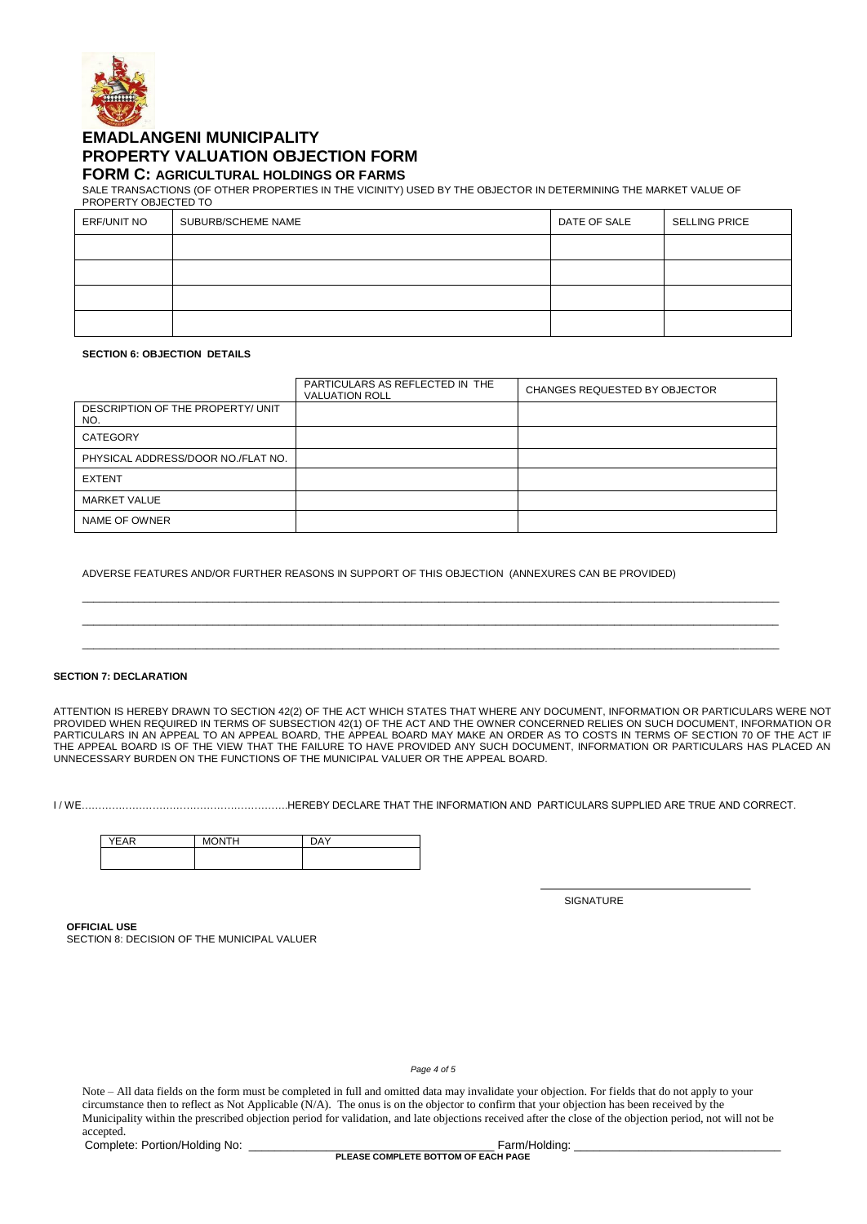

SALE TRANSACTIONS (OF OTHER PROPERTIES IN THE VICINITY) USED BY THE OBJECTOR IN DETERMINING THE MARKET VALUE OF

| PROPERTY OBJECTED TO |                    |              |                      |
|----------------------|--------------------|--------------|----------------------|
| ERF/UNIT NO          | SUBURB/SCHEME NAME | DATE OF SALE | <b>SELLING PRICE</b> |
|                      |                    |              |                      |
|                      |                    |              |                      |
|                      |                    |              |                      |
|                      |                    |              |                      |

#### **SECTION 6: OBJECTION DETAILS**

|                                          | PARTICULARS AS REFLECTED IN THE<br><b>VALUATION ROLL</b> | CHANGES REQUESTED BY OBJECTOR |
|------------------------------------------|----------------------------------------------------------|-------------------------------|
| DESCRIPTION OF THE PROPERTY/ UNIT<br>NO. |                                                          |                               |
| CATEGORY                                 |                                                          |                               |
| PHYSICAL ADDRESS/DOOR NO./FLAT NO.       |                                                          |                               |
| <b>EXTENT</b>                            |                                                          |                               |
| MARKET VALUE                             |                                                          |                               |
| NAME OF OWNER                            |                                                          |                               |

\_\_\_\_\_\_\_\_\_\_\_\_\_\_\_\_\_\_\_\_\_\_\_\_\_\_\_\_\_\_\_\_\_\_\_\_\_\_\_\_\_\_\_\_\_\_\_\_\_\_\_\_\_\_\_\_\_\_\_\_\_\_\_\_\_\_\_\_\_\_\_\_\_\_\_\_\_\_\_\_\_\_\_\_\_\_\_\_\_\_\_\_\_\_\_\_\_\_\_\_\_\_\_\_\_\_\_\_\_\_\_\_\_\_\_\_\_\_\_\_\_\_\_ \_\_\_\_\_\_\_\_\_\_\_\_\_\_\_\_\_\_\_\_\_\_\_\_\_\_\_\_\_\_\_\_\_\_\_\_\_\_\_\_\_\_\_\_\_\_\_\_\_\_\_\_\_\_\_\_\_\_\_\_\_\_\_\_\_\_\_\_\_\_\_\_\_\_\_\_\_\_\_\_\_\_\_\_\_\_\_\_\_\_\_\_\_\_\_\_\_\_\_\_\_\_\_\_\_\_\_\_\_\_\_\_\_\_\_\_\_\_\_\_\_\_\_ \_\_\_\_\_\_\_\_\_\_\_\_\_\_\_\_\_\_\_\_\_\_\_\_\_\_\_\_\_\_\_\_\_\_\_\_\_\_\_\_\_\_\_\_\_\_\_\_\_\_\_\_\_\_\_\_\_\_\_\_\_\_\_\_\_\_\_\_\_\_\_\_\_\_\_\_\_\_\_\_\_\_\_\_\_\_\_\_\_\_\_\_\_\_\_\_\_\_\_\_\_\_\_\_\_\_\_\_\_\_\_\_\_\_\_\_\_\_\_\_\_\_\_

ADVERSE FEATURES AND/OR FURTHER REASONS IN SUPPORT OF THIS OBJECTION (ANNEXURES CAN BE PROVIDED)

### **SECTION 7: DECLARATION**

ATTENTION IS HEREBY DRAWN TO SECTION 42(2) OF THE ACT WHICH STATES THAT WHERE ANY DOCUMENT, INFORMATION OR PARTICULARS WERE NOT PROVIDED WHEN REQUIRED IN TERMS OF SUBSECTION 42(1) OF THE ACT AND THE OWNER CONCERNED RELIES ON SUCH DOCUMENT, INFORMATION OR PARTICULARS IN AN APPEAL TO AN APPEAL BOARD, THE APPEAL BOARD MAY MAKE AN ORDER AS TO COSTS IN TERMS OF SECTION 70 OF THE ACT IF THE APPEAL BOARD IS OF THE VIEW THAT THE FAILURE TO HAVE PROVIDED ANY SUCH DOCUMENT, INFORMATION OR PARTICULARS HAS PLACED AN UNNECESSARY BURDEN ON THE FUNCTIONS OF THE MUNICIPAL VALUER OR THE APPEAL BOARD.

I / WE…………………………………………………….HEREBY DECLARE THAT THE INFORMATION AND PARTICULARS SUPPLIED ARE TRUE AND CORRECT.

| <b>YEAR</b> | ONTH<br>M | <b>DAY</b> |
|-------------|-----------|------------|
|             |           |            |

**SIGNATURE** 

**OFFICIAL USE** SECTION 8: DECISION OF THE MUNICIPAL VALUER

*Page 4 of 5*

Note – All data fields on the form must be completed in full and omitted data may invalidate your objection. For fields that do not apply to your circumstance then to reflect as Not Applicable (N/A). The onus is on the objector to confirm that your objection has been received by the Municipality within the prescribed objection period for validation, and late objections received after the close of the objection period, not will not be accepted.

Complete: Portion/Holding No: \_\_\_\_\_\_\_\_\_\_\_\_\_\_\_\_\_\_\_\_\_\_\_\_\_\_\_\_\_\_\_\_\_\_\_\_\_\_ Farm/Holding: \_\_\_\_\_\_\_\_\_\_\_\_\_\_\_\_\_\_\_\_\_\_\_\_\_\_\_\_\_\_\_\_

**PLEASE COMPLETE BOTTOM OF EACH PAGE**